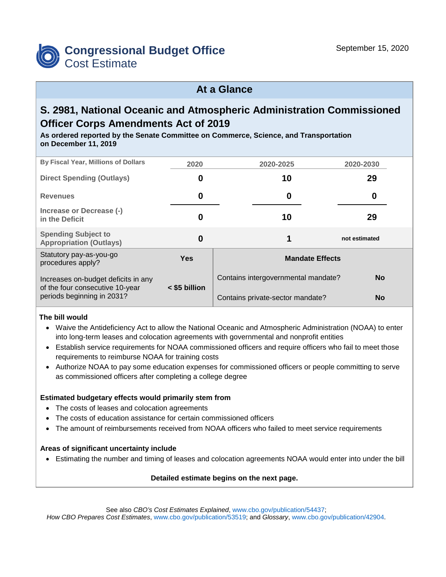

## **At a Glance**

# **S. 2981, National Oceanic and Atmospheric Administration Commissioned Officer Corps Amendments Act of 2019**

**As ordered reported by the Senate Committee on Commerce, Science, and Transportation on December 11, 2019**

| By Fiscal Year, Millions of Dollars                                    | 2020            | 2020-2025                           | 2020-2030              |  |
|------------------------------------------------------------------------|-----------------|-------------------------------------|------------------------|--|
| <b>Direct Spending (Outlays)</b>                                       | 0               | 10                                  | 29                     |  |
| <b>Revenues</b>                                                        | 0               | 0                                   | 0                      |  |
| Increase or Decrease (-)<br>in the Deficit                             | 0               | 10                                  | 29                     |  |
| <b>Spending Subject to</b><br><b>Appropriation (Outlays)</b>           | $\bf{0}$        | 1                                   | not estimated          |  |
| Statutory pay-as-you-go<br>procedures apply?                           | <b>Yes</b>      |                                     | <b>Mandate Effects</b> |  |
| Increases on-budget deficits in any<br>of the four consecutive 10-year | $<$ \$5 billion | Contains intergovernmental mandate? | <b>No</b>              |  |
| periods beginning in 2031?                                             |                 | Contains private-sector mandate?    | <b>No</b>              |  |

#### **The bill would**

- Waive the Antideficiency Act to allow the National Oceanic and Atmospheric Administration (NOAA) to enter into long-term leases and colocation agreements with governmental and nonprofit entities
- Establish service requirements for NOAA commissioned officers and require officers who fail to meet those requirements to reimburse NOAA for training costs
- Authorize NOAA to pay some education expenses for commissioned officers or people committing to serve as commissioned officers after completing a college degree

#### **Estimated budgetary effects would primarily stem from**

- The costs of leases and colocation agreements
- The costs of education assistance for certain commissioned officers
- The amount of reimbursements received from NOAA officers who failed to meet service requirements

#### **Areas of significant uncertainty include**

• Estimating the number and timing of leases and colocation agreements NOAA would enter into under the bill

#### **Detailed estimate begins on the next page.**

See also *CBO's Cost Estimates Explained*, [www.cbo.gov/publication/54437;](https://www.cbo.gov/publication/54437)

*How CBO Prepares Cost Estimates*, [www.cbo.gov/publication/53519;](https://www.cbo.gov/publication/53519) and *Glossary*, [www.cbo.gov/publication/42904.](https://www.cbo.gov/publication/42904)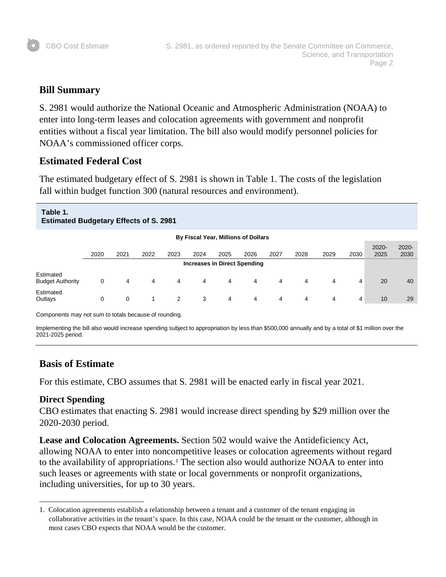

### **Bill Summary**

S. 2981 would authorize the National Oceanic and Atmospheric Administration (NOAA) to enter into long-term leases and colocation agreements with government and nonprofit entities without a fiscal year limitation. The bill also would modify personnel policies for NOAA's commissioned officer corps.

### **Estimated Federal Cost**

The estimated budgetary effect of S. 2981 is shown in Table 1. The costs of the legislation fall within budget function 300 (natural resources and environment).

### **Table 1. Estimated Budgetary Effects of S. 2981 By Fiscal Year, Millions of Dollars**

|                                      |      |      |      |      |      | <b>DV FISCAL LEAL, MILIOLIS OF DUITALS</b> |      |      |      |      |      |                  |                  |
|--------------------------------------|------|------|------|------|------|--------------------------------------------|------|------|------|------|------|------------------|------------------|
|                                      | 2020 | 2021 | 2022 | 2023 | 2024 | 2025                                       | 2026 | 2027 | 2028 | 2029 | 2030 | $2020 -$<br>2025 | $2020 -$<br>2030 |
|                                      |      |      |      |      |      | <b>Increases in Direct Spending</b>        |      |      |      |      |      |                  |                  |
| Estimated<br><b>Budget Authority</b> | 0    | 4    | 4    | 4    | 4    | 4                                          | 4    | 4    | 4    | 4    | 4    | 20               | 40               |
| Estimated<br>Outlays                 | 0    |      |      | 2    | 3    | 4                                          | 4    | 4    | 4    | 4    | 4    | 10               | 29               |

Components may not sum to totals because of rounding.

Implementing the bill also would increase spending subject to appropriation by less than \$500,000 annually and by a total of \$1 million over the 2021-2025 period.

## **Basis of Estimate**

For this estimate, CBO assumes that S. 2981 will be enacted early in fiscal year 2021.

### **Direct Spending**

l

CBO estimates that enacting S. 2981 would increase direct spending by \$29 million over the 2020-2030 period.

**Lease and Colocation Agreements.** Section 502 would waive the Antideficiency Act, allowing NOAA to enter into noncompetitive leases or colocation agreements without regard to the availability of appropriations. [1](#page-1-0) The section also would authorize NOAA to enter into such leases or agreements with state or local governments or nonprofit organizations, including universities, for up to 30 years.

<span id="page-1-0"></span><sup>1.</sup> Colocation agreements establish a relationship between a tenant and a customer of the tenant engaging in collaborative activities in the tenant's space. In this case, NOAA could be the tenant or the customer, although in most cases CBO expects that NOAA would be the customer.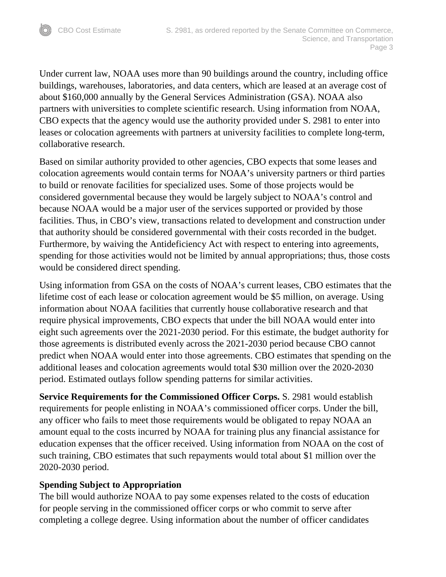Under current law, NOAA uses more than 90 buildings around the country, including office buildings, warehouses, laboratories, and data centers, which are leased at an average cost of about \$160,000 annually by the General Services Administration (GSA). NOAA also partners with universities to complete scientific research. Using information from NOAA, CBO expects that the agency would use the authority provided under S. 2981 to enter into leases or colocation agreements with partners at university facilities to complete long-term, collaborative research.

Based on similar authority provided to other agencies, CBO expects that some leases and colocation agreements would contain terms for NOAA's university partners or third parties to build or renovate facilities for specialized uses. Some of those projects would be considered governmental because they would be largely subject to NOAA's control and because NOAA would be a major user of the services supported or provided by those facilities. Thus, in CBO's view, transactions related to development and construction under that authority should be considered governmental with their costs recorded in the budget. Furthermore, by waiving the Antideficiency Act with respect to entering into agreements, spending for those activities would not be limited by annual appropriations; thus, those costs would be considered direct spending.

Using information from GSA on the costs of NOAA's current leases, CBO estimates that the lifetime cost of each lease or colocation agreement would be \$5 million, on average. Using information about NOAA facilities that currently house collaborative research and that require physical improvements, CBO expects that under the bill NOAA would enter into eight such agreements over the 2021-2030 period. For this estimate, the budget authority for those agreements is distributed evenly across the 2021-2030 period because CBO cannot predict when NOAA would enter into those agreements. CBO estimates that spending on the additional leases and colocation agreements would total \$30 million over the 2020-2030 period. Estimated outlays follow spending patterns for similar activities.

**Service Requirements for the Commissioned Officer Corps.** S. 2981 would establish requirements for people enlisting in NOAA's commissioned officer corps. Under the bill, any officer who fails to meet those requirements would be obligated to repay NOAA an amount equal to the costs incurred by NOAA for training plus any financial assistance for education expenses that the officer received. Using information from NOAA on the cost of such training, CBO estimates that such repayments would total about \$1 million over the 2020-2030 period.

### **Spending Subject to Appropriation**

The bill would authorize NOAA to pay some expenses related to the costs of education for people serving in the commissioned officer corps or who commit to serve after completing a college degree. Using information about the number of officer candidates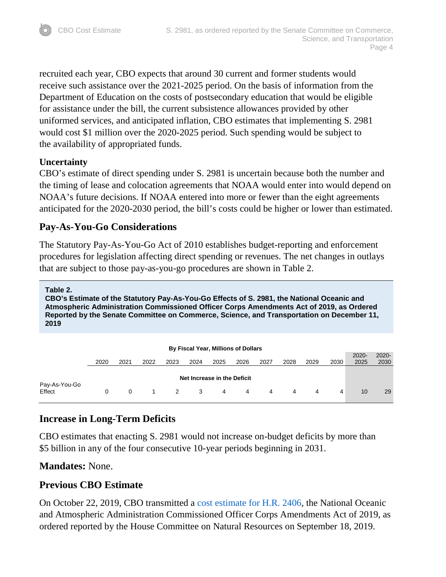recruited each year, CBO expects that around 30 current and former students would receive such assistance over the 2021-2025 period. On the basis of information from the Department of Education on the costs of postsecondary education that would be eligible for assistance under the bill, the current subsistence allowances provided by other uniformed services, and anticipated inflation, CBO estimates that implementing S. 2981 would cost \$1 million over the 2020-2025 period. Such spending would be subject to the availability of appropriated funds.

### **Uncertainty**

CBO's estimate of direct spending under S. 2981 is uncertain because both the number and the timing of lease and colocation agreements that NOAA would enter into would depend on NOAA's future decisions. If NOAA entered into more or fewer than the eight agreements anticipated for the 2020-2030 period, the bill's costs could be higher or lower than estimated.

## **Pay-As-You-Go Considerations**

The Statutory Pay-As-You-Go Act of 2010 establishes budget-reporting and enforcement procedures for legislation affecting direct spending or revenues. The net changes in outlays that are subject to those pay-as-you-go procedures are shown in Table 2.

#### **Table 2.**

**CBO's Estimate of the Statutory Pay-As-You-Go Effects of S. 2981, the National Oceanic and Atmospheric Administration Commissioned Officer Corps Amendments Act of 2019, as Ordered Reported by the Senate Committee on Commerce, Science, and Transportation on December 11, 2019**

| By Fiscal Year, Millions of Dollars |      |          |      |      |              |      |                |                |      |      |      |          |          |
|-------------------------------------|------|----------|------|------|--------------|------|----------------|----------------|------|------|------|----------|----------|
|                                     |      |          |      |      |              |      |                |                |      |      |      | $2020 -$ | $2020 -$ |
|                                     | 2020 | 2021     | 2022 | 2023 | 2024         | 2025 | 2026           | 2027           | 2028 | 2029 | 2030 | 2025     | 2030     |
|                                     |      |          |      |      |              |      |                |                |      |      |      |          |          |
| Net Increase in the Deficit         |      |          |      |      |              |      |                |                |      |      |      |          |          |
| Pay-As-You-Go                       |      |          |      |      |              |      |                |                |      |      |      |          |          |
| Effect                              | 0    | $\Omega$ |      | 2    | $\mathbf{3}$ | 4    | $\overline{4}$ | $\overline{4}$ | 4    | 4    | 4    | 10       | 29       |
|                                     |      |          |      |      |              |      |                |                |      |      |      |          |          |

## **Increase in Long-Term Deficits**

CBO estimates that enacting S. 2981 would not increase on-budget deficits by more than \$5 billion in any of the four consecutive 10-year periods beginning in 2031.

## **Mandates:** None.

## **Previous CBO Estimate**

On October 22, 2019, CBO transmitted a [cost estimate for H.R. 2406,](https://www.cbo.gov/publication/55754) the National Oceanic and Atmospheric Administration Commissioned Officer Corps Amendments Act of 2019, as ordered reported by the House Committee on Natural Resources on September 18, 2019.